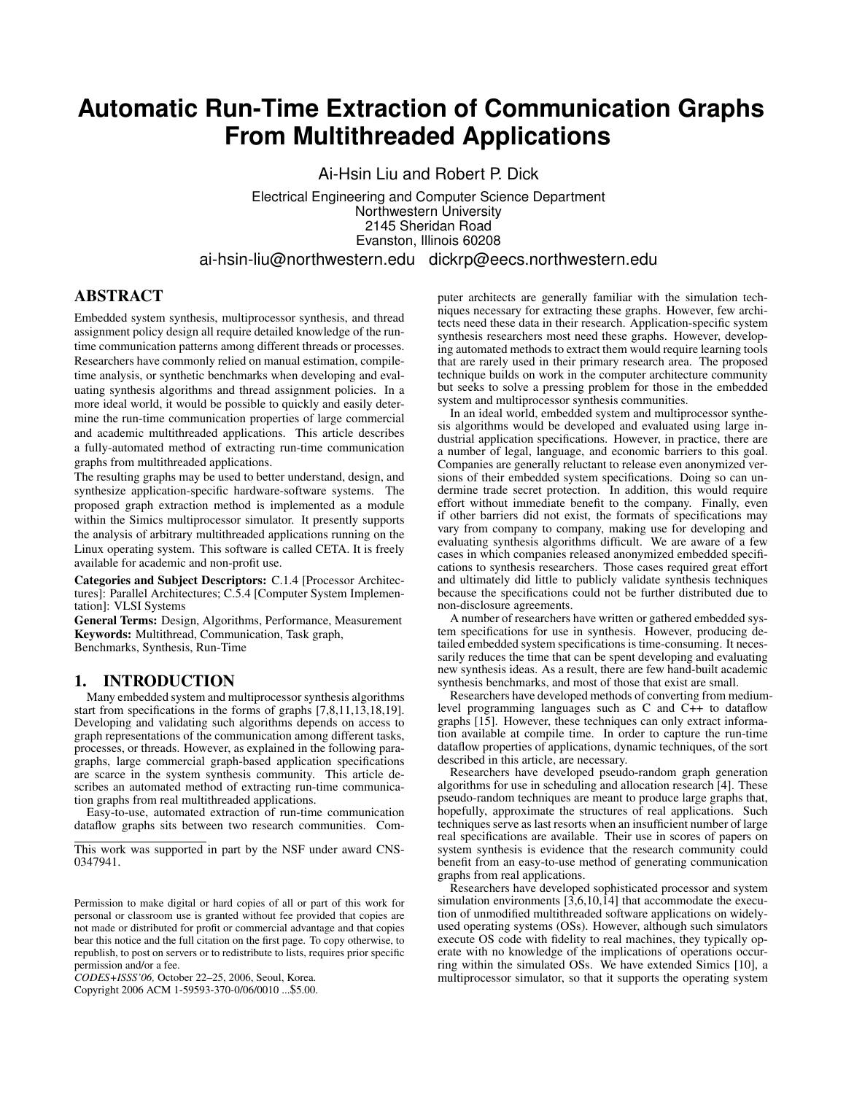# **Automatic Run-Time Extraction of Communication Graphs From Multithreaded Applications**

Ai-Hsin Liu and Robert P. Dick

Electrical Engineering and Computer Science Department Northwestern University 2145 Sheridan Road Evanston, Illinois 60208 ai-hsin-liu@northwestern.edu dickrp@eecs.northwestern.edu

## ABSTRACT

Embedded system synthesis, multiprocessor synthesis, and thread assignment policy design all require detailed knowledge of the runtime communication patterns among different threads or processes. Researchers have commonly relied on manual estimation, compiletime analysis, or synthetic benchmarks when developing and evaluating synthesis algorithms and thread assignment policies. In a more ideal world, it would be possible to quickly and easily determine the run-time communication properties of large commercial and academic multithreaded applications. This article describes a fully-automated method of extracting run-time communication graphs from multithreaded applications.

The resulting graphs may be used to better understand, design, and synthesize application-specific hardware-software systems. The proposed graph extraction method is implemented as a module within the Simics multiprocessor simulator. It presently supports the analysis of arbitrary multithreaded applications running on the Linux operating system. This software is called CETA. It is freely available for academic and non-profit use.

Categories and Subject Descriptors: C.1.4 [Processor Architectures]: Parallel Architectures; C.5.4 [Computer System Implementation]: VLSI Systems

General Terms: Design, Algorithms, Performance, Measurement Keywords: Multithread, Communication, Task graph, Benchmarks, Synthesis, Run-Time

## 1. INTRODUCTION

Many embedded system and multiprocessor synthesis algorithms start from specifications in the forms of graphs [7,8,11,13,18,19]. Developing and validating such algorithms depends on access to graph representations of the communication among different tasks, processes, or threads. However, as explained in the following paragraphs, large commercial graph-based application specifications are scarce in the system synthesis community. This article describes an automated method of extracting run-time communication graphs from real multithreaded applications.

Easy-to-use, automated extraction of run-time communication dataflow graphs sits between two research communities. Com-

Copyright 2006 ACM 1-59593-370-0/06/0010 ...\$5.00.

puter architects are generally familiar with the simulation techniques necessary for extracting these graphs. However, few architects need these data in their research. Application-specific system synthesis researchers most need these graphs. However, developing automated methods to extract them would require learning tools that are rarely used in their primary research area. The proposed technique builds on work in the computer architecture community but seeks to solve a pressing problem for those in the embedded system and multiprocessor synthesis communities.

In an ideal world, embedded system and multiprocessor synthesis algorithms would be developed and evaluated using large industrial application specifications. However, in practice, there are a number of legal, language, and economic barriers to this goal. Companies are generally reluctant to release even anonymized versions of their embedded system specifications. Doing so can undermine trade secret protection. In addition, this would require effort without immediate benefit to the company. Finally, even if other barriers did not exist, the formats of specifications may vary from company to company, making use for developing and evaluating synthesis algorithms difficult. We are aware of a few cases in which companies released anonymized embedded specifications to synthesis researchers. Those cases required great effort and ultimately did little to publicly validate synthesis techniques because the specifications could not be further distributed due to non-disclosure agreements.

A number of researchers have written or gathered embedded system specifications for use in synthesis. However, producing detailed embedded system specifications is time-consuming. It necessarily reduces the time that can be spent developing and evaluating new synthesis ideas. As a result, there are few hand-built academic synthesis benchmarks, and most of those that exist are small.

Researchers have developed methods of converting from mediumlevel programming languages such as C and C++ to dataflow graphs [15]. However, these techniques can only extract information available at compile time. In order to capture the run-time dataflow properties of applications, dynamic techniques, of the sort described in this article, are necessary.

Researchers have developed pseudo-random graph generation algorithms for use in scheduling and allocation research [4]. These pseudo-random techniques are meant to produce large graphs that, hopefully, approximate the structures of real applications. Such techniques serve as last resorts when an insufficient number of large real specifications are available. Their use in scores of papers on system synthesis is evidence that the research community could benefit from an easy-to-use method of generating communication graphs from real applications.

Researchers have developed sophisticated processor and system simulation environments  $[3,6,10,14]$  that accommodate the execution of unmodified multithreaded software applications on widelyused operating systems (OSs). However, although such simulators execute OS code with fidelity to real machines, they typically operate with no knowledge of the implications of operations occurring within the simulated OSs. We have extended Simics [10], a multiprocessor simulator, so that it supports the operating system

This work was supported in part by the NSF under award CNS-0347941.

Permission to make digital or hard copies of all or part of this work for personal or classroom use is granted without fee provided that copies are not made or distributed for profit or commercial advantage and that copies bear this notice and the full citation on the first page. To copy otherwise, to republish, to post on servers or to redistribute to lists, requires prior specific permission and/or a fee.

*CODES+ISSS'06,* October 22–25, 2006, Seoul, Korea.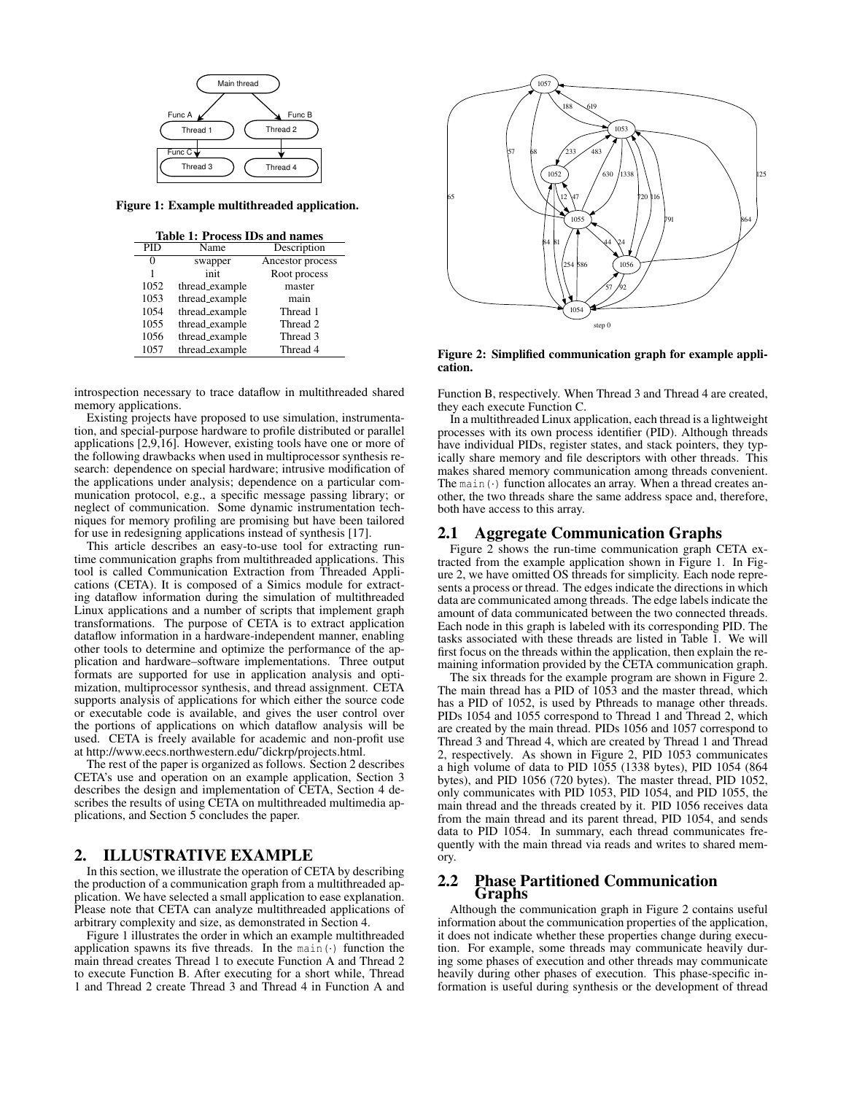

Figure 1: Example multithreaded application.

|  | <b>Table 1: Process IDs and names</b> |  |  |
|--|---------------------------------------|--|--|
|  |                                       |  |  |

| PІГ  | Name           | Description      |
|------|----------------|------------------|
| 0    | swapper        | Ancestor process |
|      | init           | Root process     |
| 1052 | thread_example | master           |
| 1053 | thread_example | main             |
| 1054 | thread_example | Thread 1         |
| 1055 | thread_example | Thread 2         |
| 1056 | thread_example | Thread 3         |
| 1057 | thread_example | Thread 4         |

introspection necessary to trace dataflow in multithreaded shared memory applications.

Existing projects have proposed to use simulation, instrumentation, and special-purpose hardware to profile distributed or parallel applications [2,9,16]. However, existing tools have one or more of the following drawbacks when used in multiprocessor synthesis research: dependence on special hardware; intrusive modification of the applications under analysis; dependence on a particular communication protocol, e.g., a specific message passing library; or neglect of communication. Some dynamic instrumentation techniques for memory profiling are promising but have been tailored for use in redesigning applications instead of synthesis [17].

This article describes an easy-to-use tool for extracting runtime communication graphs from multithreaded applications. This tool is called Communication Extraction from Threaded Applications (CETA). It is composed of a Simics module for extracting dataflow information during the simulation of multithreaded Linux applications and a number of scripts that implement graph transformations. The purpose of CETA is to extract application dataflow information in a hardware-independent manner, enabling other tools to determine and optimize the performance of the application and hardware–software implementations. Three output formats are supported for use in application analysis and optimization, multiprocessor synthesis, and thread assignment. CETA supports analysis of applications for which either the source code or executable code is available, and gives the user control over the portions of applications on which dataflow analysis will be used. CETA is freely available for academic and non-profit use at http://www.eecs.northwestern.edu/˜dickrp/projects.html.

The rest of the paper is organized as follows. Section 2 describes CETA's use and operation on an example application, Section 3 describes the design and implementation of CETA, Section 4 describes the results of using CETA on multithreaded multimedia applications, and Section 5 concludes the paper.

#### 2. ILLUSTRATIVE EXAMPLE

In this section, we illustrate the operation of CETA by describing the production of a communication graph from a multithreaded application. We have selected a small application to ease explanation. Please note that CETA can analyze multithreaded applications of arbitrary complexity and size, as demonstrated in Section 4.

Figure 1 illustrates the order in which an example multithreaded application spawns its five threads. In the main  $\left(\cdot\right)$  function the main thread creates Thread 1 to execute Function A and Thread 2 to execute Function B. After executing for a short while, Thread 1 and Thread 2 create Thread 3 and Thread 4 in Function A and



Figure 2: Simplified communication graph for example application.

Function B, respectively. When Thread 3 and Thread 4 are created, they each execute Function C.

In a multithreaded Linux application, each thread is a lightweight processes with its own process identifier (PID). Although threads have individual PIDs, register states, and stack pointers, they typically share memory and file descriptors with other threads. This makes shared memory communication among threads convenient. The main  $(\cdot)$  function allocates an array. When a thread creates another, the two threads share the same address space and, therefore, both have access to this array.

#### 2.1 Aggregate Communication Graphs

Figure 2 shows the run-time communication graph CETA extracted from the example application shown in Figure 1. In Figure 2, we have omitted OS threads for simplicity. Each node represents a process or thread. The edges indicate the directions in which data are communicated among threads. The edge labels indicate the amount of data communicated between the two connected threads. Each node in this graph is labeled with its corresponding PID. The tasks associated with these threads are listed in Table 1. We will first focus on the threads within the application, then explain the remaining information provided by the CETA communication graph.

The six threads for the example program are shown in Figure 2. The main thread has a PID of  $1053$  and the master thread, which has a PID of 1052, is used by Pthreads to manage other threads. PIDs 1054 and 1055 correspond to Thread 1 and Thread 2, which are created by the main thread. PIDs 1056 and 1057 correspond to Thread 3 and Thread 4, which are created by Thread 1 and Thread 2, respectively. As shown in Figure 2, PID 1053 communicates a high volume of data to PID 1055 (1338 bytes), PID 1054 (864 bytes), and PID 1056 (720 bytes). The master thread, PID 1052, only communicates with PID 1053, PID 1054, and PID 1055, the main thread and the threads created by it. PID 1056 receives data from the main thread and its parent thread, PID 1054, and sends data to PID 1054. In summary, each thread communicates frequently with the main thread via reads and writes to shared memory.

#### 2.2 Phase Partitioned Communication Graphs

Although the communication graph in Figure 2 contains useful information about the communication properties of the application, it does not indicate whether these properties change during execution. For example, some threads may communicate heavily during some phases of execution and other threads may communicate heavily during other phases of execution. This phase-specific information is useful during synthesis or the development of thread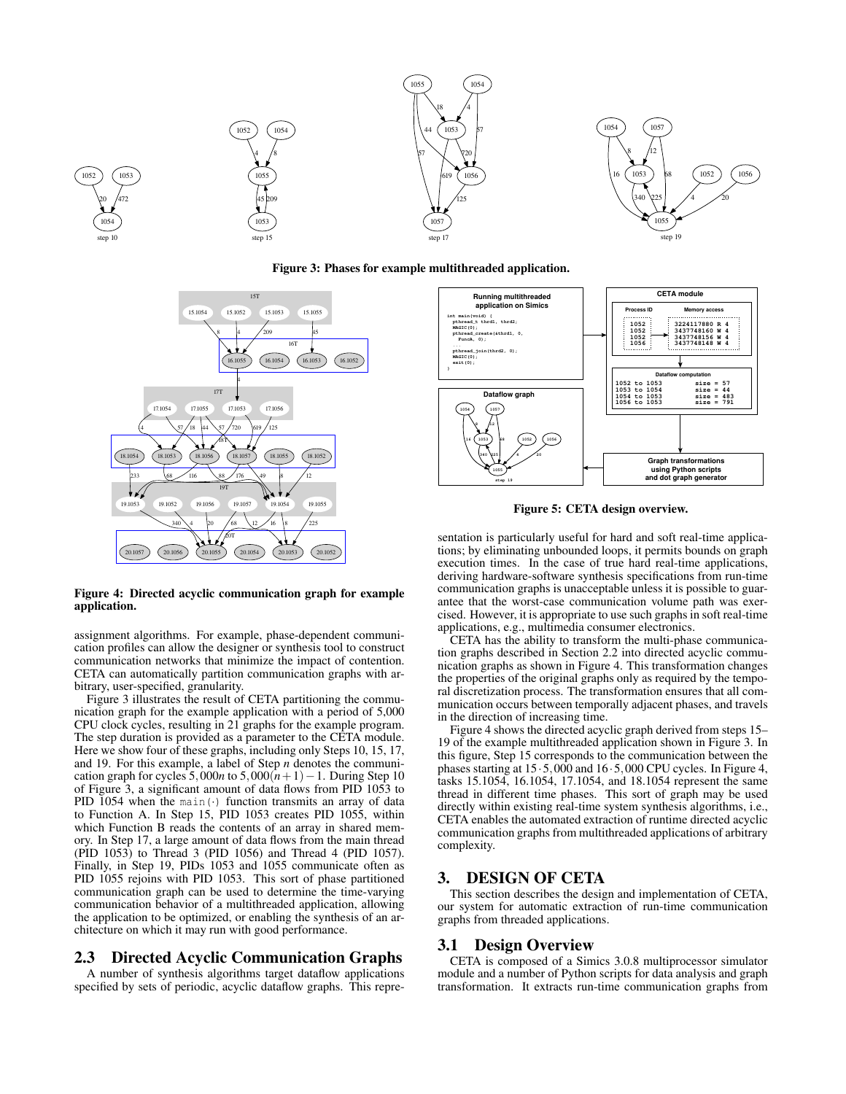





#### Figure 4: Directed acyclic communication graph for example application.

assignment algorithms. For example, phase-dependent communication profiles can allow the designer or synthesis tool to construct communication networks that minimize the impact of contention. CETA can automatically partition communication graphs with arbitrary, user-specified, granularity.

Figure 3 illustrates the result of CETA partitioning the communication graph for the example application with a period of 5,000 CPU clock cycles, resulting in 21 graphs for the example program. The step duration is provided as a parameter to the CETA module. Here we show four of these graphs, including only Steps 10, 15, 17, and 19. For this example, a label of Step *n* denotes the communication graph for cycles 5,000*n* to  $5,000(n+1)-1$ . During Step 10 of Figure 3, a significant amount of data flows from PID 1053 to PID 1054 when the main( $\cdot$ ) function transmits an array of data to Function A. In Step 15, PID 1053 creates PID 1055, within which Function B reads the contents of an array in shared memory. In Step 17, a large amount of data flows from the main thread (PID 1053) to Thread 3 (PID 1056) and Thread 4 (PID 1057). Finally, in Step 19, PIDs 1053 and 1055 communicate often as PID 1055 rejoins with PID 1053. This sort of phase partitioned communication graph can be used to determine the time-varying communication behavior of a multithreaded application, allowing the application to be optimized, or enabling the synthesis of an architecture on which it may run with good performance.

## 2.3 Directed Acyclic Communication Graphs

A number of synthesis algorithms target dataflow applications specified by sets of periodic, acyclic dataflow graphs. This repre-



Figure 5: CETA design overview.

sentation is particularly useful for hard and soft real-time applications; by eliminating unbounded loops, it permits bounds on graph execution times. In the case of true hard real-time applications, deriving hardware-software synthesis specifications from run-time communication graphs is unacceptable unless it is possible to guarantee that the worst-case communication volume path was exercised. However, it is appropriate to use such graphs in soft real-time applications, e.g., multimedia consumer electronics.

CETA has the ability to transform the multi-phase communication graphs described in Section 2.2 into directed acyclic communication graphs as shown in Figure 4. This transformation changes the properties of the original graphs only as required by the temporal discretization process. The transformation ensures that all communication occurs between temporally adjacent phases, and travels in the direction of increasing time.

Figure 4 shows the directed acyclic graph derived from steps 15– 19 of the example multithreaded application shown in Figure 3. In this figure, Step 15 corresponds to the communication between the phases starting at 15·5,000 and 16·5,000 CPU cycles. In Figure 4, tasks 15.1054, 16.1054, 17.1054, and 18.1054 represent the same thread in different time phases. This sort of graph may be used directly within existing real-time system synthesis algorithms, i.e., CETA enables the automated extraction of runtime directed acyclic communication graphs from multithreaded applications of arbitrary complexity.

## 3. DESIGN OF CETA

This section describes the design and implementation of CETA, our system for automatic extraction of run-time communication graphs from threaded applications.

#### 3.1 Design Overview

CETA is composed of a Simics 3.0.8 multiprocessor simulator module and a number of Python scripts for data analysis and graph transformation. It extracts run-time communication graphs from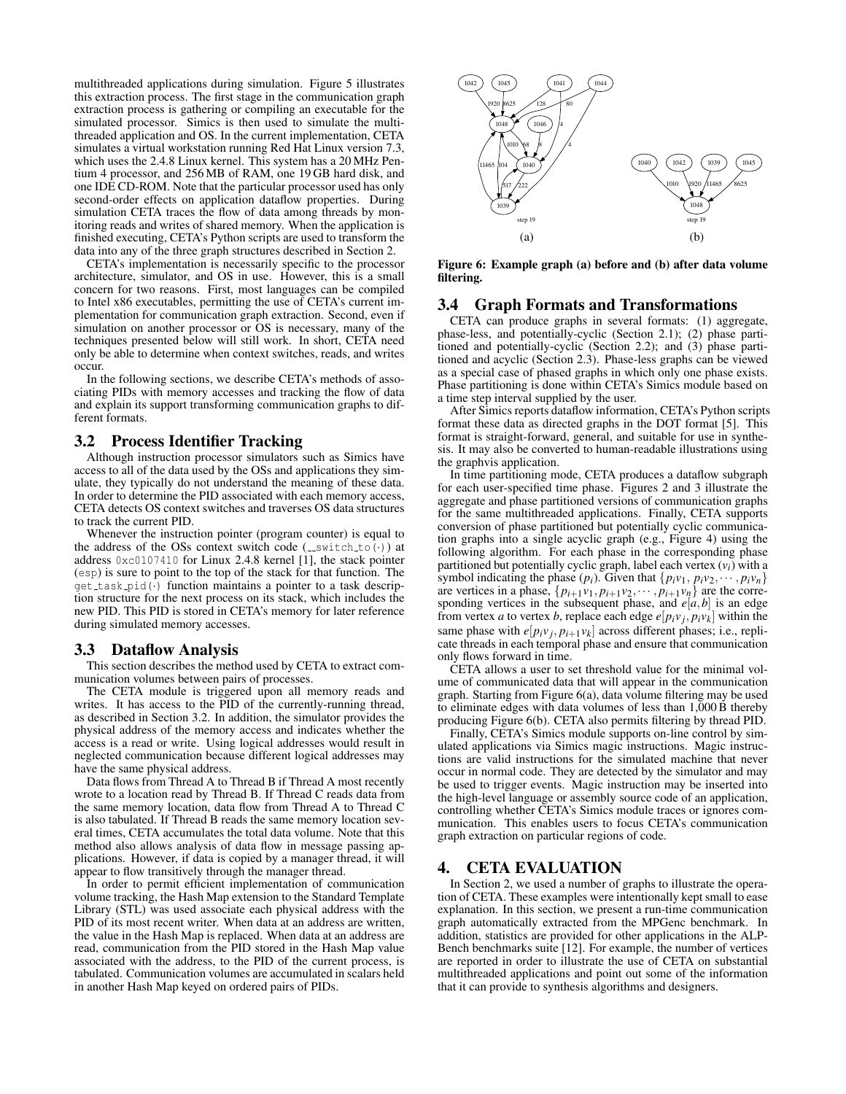multithreaded applications during simulation. Figure 5 illustrates this extraction process. The first stage in the communication graph extraction process is gathering or compiling an executable for the simulated processor. Simics is then used to simulate the multithreaded application and OS. In the current implementation, CETA simulates a virtual workstation running Red Hat Linux version 7.3, which uses the 2.4.8 Linux kernel. This system has a 20 MHz Pentium 4 processor, and 256 MB of RAM, one 19 GB hard disk, and one IDE CD-ROM. Note that the particular processor used has only second-order effects on application dataflow properties. During simulation CETA traces the flow of data among threads by monitoring reads and writes of shared memory. When the application is finished executing, CETA's Python scripts are used to transform the data into any of the three graph structures described in Section 2.

CETA's implementation is necessarily specific to the processor architecture, simulator, and OS in use. However, this is a small concern for two reasons. First, most languages can be compiled to Intel x86 executables, permitting the use of CETA's current implementation for communication graph extraction. Second, even if simulation on another processor or OS is necessary, many of the techniques presented below will still work. In short, CETA need only be able to determine when context switches, reads, and writes occur.

In the following sections, we describe CETA's methods of associating PIDs with memory accesses and tracking the flow of data and explain its support transforming communication graphs to different formats.

#### 3.2 Process Identifier Tracking

Although instruction processor simulators such as Simics have access to all of the data used by the OSs and applications they simulate, they typically do not understand the meaning of these data. In order to determine the PID associated with each memory access, CETA detects OS context switches and traverses OS data structures to track the current PID.

Whenever the instruction pointer (program counter) is equal to the address of the OSs context switch code  $(\text{-switch_to}(\cdot))$  at address 0xc0107410 for Linux 2.4.8 kernel [1], the stack pointer (esp) is sure to point to the top of the stack for that function. The  $get\_task\_pid(\cdot)$  function maintains a pointer to a task description structure for the next process on its stack, which includes the new PID. This PID is stored in CETA's memory for later reference during simulated memory accesses.

#### 3.3 Dataflow Analysis

This section describes the method used by CETA to extract communication volumes between pairs of processes.

The CETA module is triggered upon all memory reads and writes. It has access to the PID of the currently-running thread, as described in Section 3.2. In addition, the simulator provides the physical address of the memory access and indicates whether the access is a read or write. Using logical addresses would result in neglected communication because different logical addresses may have the same physical address.

Data flows from Thread A to Thread B if Thread A most recently wrote to a location read by Thread B. If Thread C reads data from the same memory location, data flow from Thread A to Thread C is also tabulated. If Thread B reads the same memory location several times, CETA accumulates the total data volume. Note that this method also allows analysis of data flow in message passing applications. However, if data is copied by a manager thread, it will appear to flow transitively through the manager thread.

In order to permit efficient implementation of communication volume tracking, the Hash Map extension to the Standard Template Library (STL) was used associate each physical address with the PID of its most recent writer. When data at an address are written, the value in the Hash Map is replaced. When data at an address are read, communication from the PID stored in the Hash Map value associated with the address, to the PID of the current process, is tabulated. Communication volumes are accumulated in scalars held in another Hash Map keyed on ordered pairs of PIDs.



Figure 6: Example graph (a) before and (b) after data volume filtering.

## 3.4 Graph Formats and Transformations

CETA can produce graphs in several formats: (1) aggregate, phase-less, and potentially-cyclic (Section 2.1); (2) phase partitioned and potentially-cyclic (Section 2.2); and (3) phase partitioned and acyclic (Section 2.3). Phase-less graphs can be viewed as a special case of phased graphs in which only one phase exists. Phase partitioning is done within CETA's Simics module based on a time step interval supplied by the user.

After Simics reports dataflow information, CETA's Python scripts format these data as directed graphs in the DOT format [5]. This format is straight-forward, general, and suitable for use in synthesis. It may also be converted to human-readable illustrations using the graphvis application.

In time partitioning mode, CETA produces a dataflow subgraph for each user-specified time phase. Figures 2 and 3 illustrate the aggregate and phase partitioned versions of communication graphs for the same multithreaded applications. Finally, CETA supports conversion of phase partitioned but potentially cyclic communication graphs into a single acyclic graph (e.g., Figure 4) using the following algorithm. For each phase in the corresponding phase partitioned but potentially cyclic graph, label each vertex  $(v_i)$  with a symbol indicating the phase ( $p_i$ ). Given that  $\{p_i v_1, p_i v_2, \dots, p_i v_n\}$ are vertices in a phase,  $\{p_{i+1}v_1, p_{i+1}v_2, \dots, p_{i+1}v_n\}$  are the corresponding vertices in the subsequent phase, and  $e[a,b]$  is an edge from vertex *a* to vertex *b*, replace each edge  $e[p_i v_j, p_i v_k]$  within the same phase with  $e[p_i v_j, p_{i+1} v_k]$  across different phases; i.e., repli-<br>extended in a solution and phase and anguas that communication cate threads in each temporal phase and ensure that communication only flows forward in time.

CETA allows a user to set threshold value for the minimal volume of communicated data that will appear in the communication graph. Starting from Figure 6(a), data volume filtering may be used to eliminate edges with data volumes of less than 1,000 B thereby producing Figure 6(b). CETA also permits filtering by thread PID.

Finally, CETA's Simics module supports on-line control by simulated applications via Simics magic instructions. Magic instructions are valid instructions for the simulated machine that never occur in normal code. They are detected by the simulator and may be used to trigger events. Magic instruction may be inserted into the high-level language or assembly source code of an application, controlling whether CETA's Simics module traces or ignores communication. This enables users to focus CETA's communication graph extraction on particular regions of code.

## 4. CETA EVALUATION

In Section 2, we used a number of graphs to illustrate the operation of CETA. These examples were intentionally kept small to ease explanation. In this section, we present a run-time communication graph automatically extracted from the MPGenc benchmark. In addition, statistics are provided for other applications in the ALP-Bench benchmarks suite [12]. For example, the number of vertices are reported in order to illustrate the use of CETA on substantial multithreaded applications and point out some of the information that it can provide to synthesis algorithms and designers.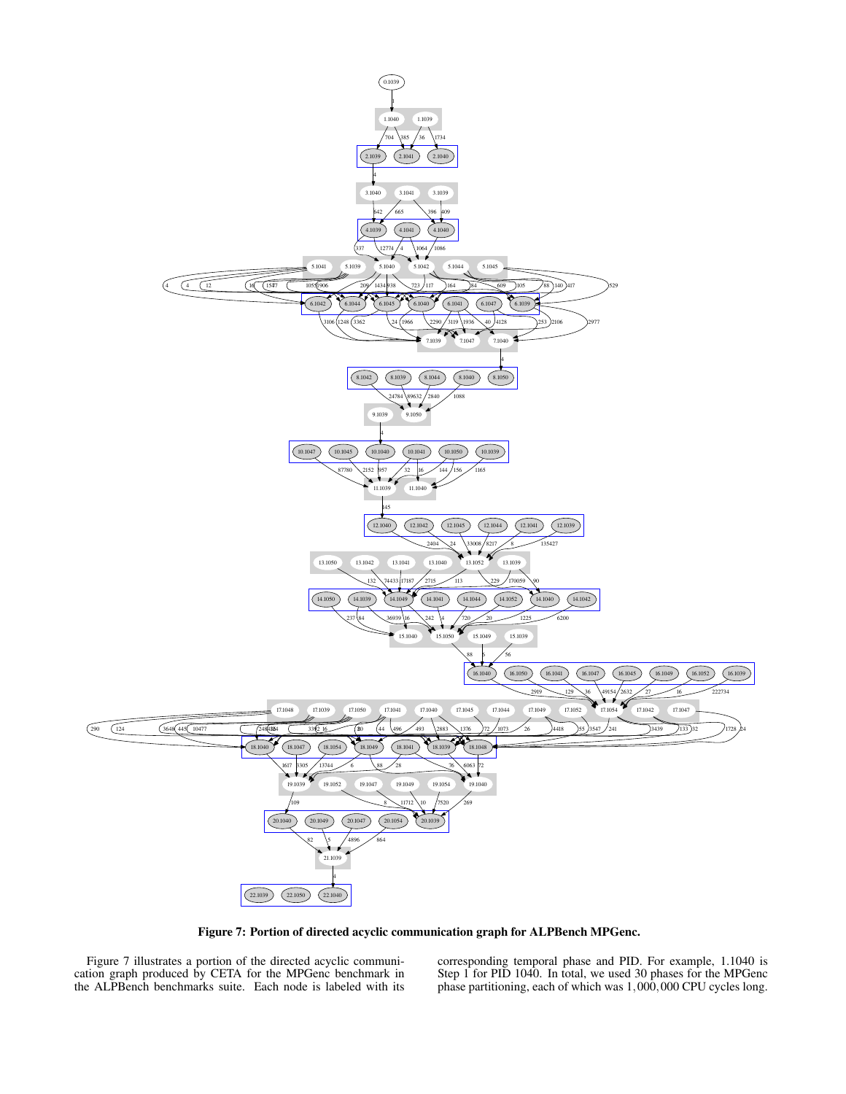

Figure 7: Portion of directed acyclic communication graph for ALPBench MPGenc.

Figure 7 illustrates a portion of the directed acyclic communication graph produced by CETA for the MPGenc benchmark in the ALPBench benchmarks suite. Each node is labeled with its

corresponding temporal phase and PID. For example, 1.1040 is Step 1 for PID 1040. In total, we used 30 phases for the MPGenc phase partitioning, each of which was 1,000,000 CPU cycles long.